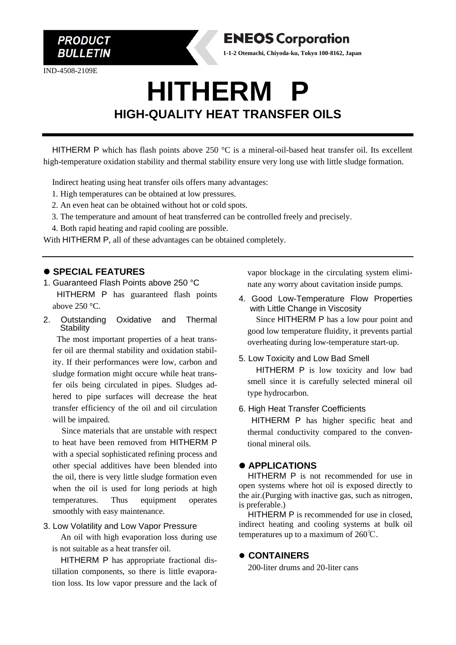

IND-4508-2109E

**PRODUCT BULLETIN** 

# **HITHERM P HIGH-QUALITY HEAT TRANSFER OILS**

**ENEOS Corporation 1-1-2 Otemachi, Chiyoda-ku, Tokyo 100-8162, Japan**

HITHERM P which has flash points above 250 °C is a mineral-oil-based heat transfer oil. Its excellent high-temperature oxidation stability and thermal stability ensure very long use with little sludge formation.

Indirect heating using heat transfer oils offers many advantages:

- 1. High temperatures can be obtained at low pressures.
- 2. An even heat can be obtained without hot or cold spots.
- 3. The temperature and amount of heat transferred can be controlled freely and precisely.
- 4. Both rapid heating and rapid cooling are possible.

With HITHERM P, all of these advantages can be obtained completely.

### ⚫ **SPECIAL FEATURES**

- 1. Guaranteed Flash Points above 250 °C HITHERM P has guaranteed flash points above  $250^{\circ}$ C.
- 2. Outstanding Oxidative and Thermal **Stability**

The most important properties of a heat transfer oil are thermal stability and oxidation stability. If their performances were low, carbon and sludge formation might occure while heat transfer oils being circulated in pipes. Sludges adhered to pipe surfaces will decrease the heat transfer efficiency of the oil and oil circulation will be impaired.

Since materials that are unstable with respect to heat have been removed from HITHERM P with a special sophisticated refining process and other special additives have been blended into the oil, there is very little sludge formation even when the oil is used for long periods at high temperatures. Thus equipment operates smoothly with easy maintenance.

#### 3. Low Volatility and Low Vapor Pressure

An oil with high evaporation loss during use is not suitable as a heat transfer oil.

HITHERM P has appropriate fractional distillation components, so there is little evaporation loss. Its low vapor pressure and the lack of vapor blockage in the circulating system eliminate any worry about cavitation inside pumps.

4. Good Low-Temperature Flow Properties with Little Change in Viscosity Since HITHERM P has a low pour point and

good low temperature fluidity, it prevents partial overheating during low-temperature start-up.

#### 5. Low Toxicity and Low Bad Smell

HITHERM P is low toxicity and low bad smell since it is carefully selected mineral oil type hydrocarbon.

#### 6. High Heat Transfer Coefficients

 HITHERM P has higher specific heat and thermal conductivity compared to the conventional mineral oils.

#### ⚫ **APPLICATIONS**

HITHERM P is not recommended for use in open systems where hot oil is exposed directly to the air.(Purging with inactive gas, such as nitrogen, is preferable.)

HITHERM P is recommended for use in closed, indirect heating and cooling systems at bulk oil temperatures up to a maximum of 260℃.

#### ⚫ **CONTAINERS**

200-liter drums and 20-liter cans